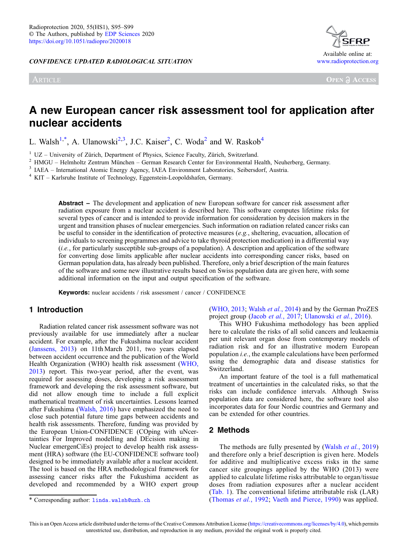#### CONFIDENCE UPDATED RADIOLOGICAL SITUATION

ARTICLE



**OPEN A ACCESS** 

# A new European cancer risk assessment tool for application after nuclear accidents

L. Walsh<sup>1,\*</sup>, A. Ulanowski<sup>2,3</sup>, J.C. Kaiser<sup>2</sup>, C. Woda<sup>2</sup> and W. Raskob<sup>4</sup>

<sup>1</sup> UZ – University of Zürich, Department of Physics, Science Faculty, Zürich, Switzerland.<br>
<sup>2</sup> HMGU – Helmholtz Zentrum München – German Research Center for Environmental Health, Neuherberg, Germany.<br>
<sup>3</sup> IAEA – Interna

Abstract – The development and application of new European software for cancer risk assessment after radiation exposure from a nuclear accident is described here. This software computes lifetime risks for several types of cancer and is intended to provide information for consideration by decision makers in the urgent and transition phases of nuclear emergencies. Such information on radiation related cancer risks can be useful to consider in the identification of protective measures (e.g., sheltering, evacuation, allocation of individuals to screening programmes and advice to take thyroid protection medication) in a differential way (i.e., for particularly susceptible sub-groups of a population). A description and application of the software for converting dose limits applicable after nuclear accidents into corresponding cancer risks, based on German population data, has already been published. Therefore, only a brief description of the main features of the software and some new illustrative results based on Swiss population data are given here, with some additional information on the input and output specification of the software.

Keywords: nuclear accidents / risk assessment / cancer / CONFIDENCE

## 1 Introduction

Radiation related cancer risk assessment software was not previously available for use immediately after a nuclear accident. For example, after the Fukushima nuclear accident ([Janssens, 2013](#page-3-0)) on 11th March 2011, two years elapsed between accident occurrence and the publication of the World Health Organization (WHO) health risk assessment ([WHO,](#page-3-0) [2013](#page-3-0)) report. This two-year period, after the event, was required for assessing doses, developing a risk assessment framework and developing the risk assessment software, but did not allow enough time to include a full explicit mathematical treatment of risk uncertainties. Lessons learned after Fukushima [\(Walsh, 2016](#page-4-0)) have emphasized the need to close such potential future time gaps between accidents and health risk assessments. Therefore, funding was provided by the European Union-CONFIDENCE (COping with uNcertainties For Improved modelling and DEcision making in Nuclear emergenCiEs) project to develop health risk assessment (HRA) software (the EU-CONFIDENCE software tool) designed to be immediately available after a nuclear accident. The tool is based on the HRA methodological framework for assessing cancer risks after the Fukushima accident as developed and recommended by a WHO expert group ([WHO, 2013;](#page-3-0) Walsh et al.[, 2014\)](#page-4-0) and by the German ProZES project group (Jacob et al.[, 2017;](#page-3-0) [Ulanowski](#page-3-0) et al., 2016).

This WHO Fukushima methodology has been applied here to calculate the risks of all solid cancers and leukaemia per unit relevant organ dose from contemporary models of radiation risk and for an illustrative modern European population i.e., the example calculations have been performed using the demographic data and disease statistics for Switzerland.

An important feature of the tool is a full mathematical treatment of uncertainties in the calculated risks, so that the risks can include confidence intervals. Although Swiss population data are considered here, the software tool also incorporates data for four Nordic countries and Germany and can be extended for other countries.

## 2 Methods

The methods are fully presented by (Walsh et al.[, 2019](#page-4-0)) and therefore only a brief description is given here. Models for additive and multiplicative excess risks in the same cancer site groupings applied by the WHO (2013) were applied to calculate lifetime risks attributable to organ/tissue doses from radiation exposures after a nuclear accident ([Tab. 1](#page-1-0)). The conventional lifetime attributable risk (LAR) \* Corresponding author: [linda.walsh@uzh.ch](mailto:linda.walsh@uzh.ch) ([Thomas](#page-3-0) et al., 1992; [Vaeth and Pierce, 1990](#page-3-0)) was applied.

This is an Open Access article distributed under the terms of the Creative Commons Attribution License ([https://creativecommons.org/licenses/by/4.0\)](https://creativecommons.org/licenses/by/4.0), which permits unrestricted use, distribution, and reproduction in any medium, provided the original work is properly cited.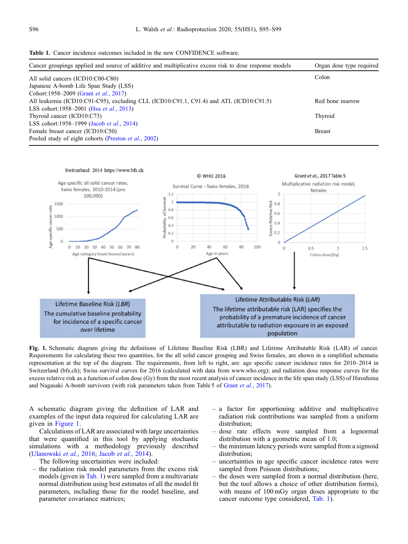#### <span id="page-1-0"></span>Table 1. Cancer incidence outcomes included in the new CONFIDENCE software.

| Cancer groupings applied and source of additive and multiplicative excess risk to dose response models | Organ dose type required |
|--------------------------------------------------------------------------------------------------------|--------------------------|
| All solid cancers (ICD10:C00-C80)                                                                      | Colon                    |
| Japanese A-bomb Life Span Study (LSS)                                                                  |                          |
| Cohort:1958–2009 (Grant et al., 2017)                                                                  |                          |
| All leukemia (ICD10:C91-C95), excluding CLL (ICD10:C91.1, C91.4) and ATL (ICD10:C91.5)                 | Red bone marrow          |
| LSS cohort:1958–2001 (Hsu et al., 2013)                                                                |                          |
| Thyroid cancer (ICD10:C73)                                                                             | Thyroid                  |
| LSS cohort:1958–1999 (Jacob et al., 2014)                                                              |                          |
| Female breast cancer (ICD10:C50)                                                                       | <b>Breast</b>            |
| Pooled study of eight cohorts (Preston <i>et al.</i> , 2002)                                           |                          |



Fig. 1. Schematic diagram giving the definitions of Lifetime Baseline Risk (LBR) and Lifetime Attributable Risk (LAR) of cancer. Requirements for calculating these two quantities, for the all solid cancer grouping and Swiss females, are shown in a simplified schematic representation at the top of the diagram. The requirements, from left to right, are: age specific cancer incidence rates for 2010–2014 in Switzerland (bfs.ch); Swiss survival curves for 2016 (calculated with data from www.who.org); and radiation dose response curves for the excess relative risk as a function of colon dose (Gy) from the most recent analysis of cancer incidence in the life span study (LSS) of Hiroshima and Nagasaki A-bomb survivors (with risk parameters taken from Table 5 of Grant et al.[, 2017](#page-3-0)).

A schematic diagram giving the definition of LAR and examples of the input data required for calculating LAR are given in Figure 1.

Calculations of LAR are associated with large uncertainties that were quantified in this tool by applying stochastic simulations with a methodology previously described ([Ulanowski](#page-3-0) et al., 2016; Jacob et al.[, 2014](#page-3-0)).

The following uncertainties were included:

- the radiation risk model parameters from the excess risk models (given in Tab. 1) were sampled from a multivariate normal distribution using best estimates of all the model fit parameters, including those for the model baseline, and parameter covariance matrices;
- a factor for apportioning additive and multiplicative radiation risk contributions was sampled from a uniform distribution;
- dose rate effects were sampled from a lognormal distribution with a geometric mean of 1.0;
- the minimum latency periods were sampled from a sigmoid distribution;
- uncertainties in age specific cancer incidence rates were sampled from Poisson distributions;
- the doses were sampled from a normal distribution (here, but the tool allows a choice of other distribution forms), with means of 100 mGy organ doses appropriate to the cancer outcome type considered, Tab. 1).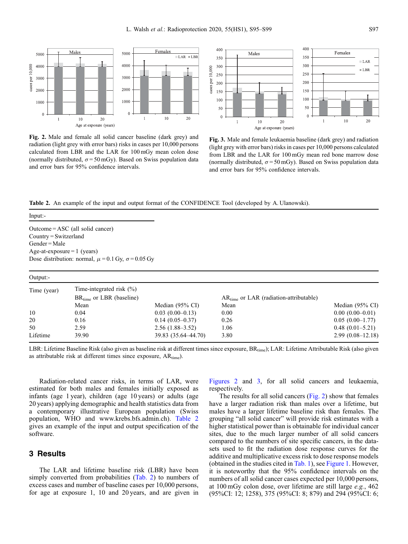<span id="page-2-0"></span>

Fig. 2. Male and female all solid cancer baseline (dark grey) and radiation (light grey with error bars) risks in cases per 10,000 persons calculated from LBR and the LAR for 100 mGy mean colon dose (normally distributed,  $\sigma = 50$  mGy). Based on Swiss population data and error bars for 95% confidence intervals.



Fig. 3. Male and female leukaemia baseline (dark grey) and radiation (light grey with error bars) risks in cases per 10,000 persons calculated from LBR and the LAR for 100 mGy mean red bone marrow dose (normally distributed,  $\sigma = 50$  mGy). Based on Swiss population data and error bars for 95% confidence intervals.

Table 2. An example of the input and output format of the CONFIDENCE Tool (developed by A. Ulanowski).

Input:- Outcome = ASC (all solid cancer) Country = Switzerland Gender = Male Age-at-exposure  $= 1$  (years) Dose distribution: normal,  $\mu = 0.1$  Gy,  $\sigma = 0.05$  Gy

| Output:-    |                               |                            |                                             |                            |
|-------------|-------------------------------|----------------------------|---------------------------------------------|----------------------------|
| Time (year) | Time-integrated risk $(\% )$  |                            |                                             |                            |
|             | $BR_{time}$ or LBR (baseline) |                            | $AR_{time}$ or LAR (radiation-attributable) |                            |
|             | Mean                          | Median $(95\% \text{ CI})$ | Mean                                        | Median $(95\% \text{ CI})$ |
| 10          | 0.04                          | $0.03(0.00-0.13)$          | 0.00                                        | $0.00(0.00-0.01)$          |
| 20          | 0.16                          | $0.14(0.05-0.37)$          | 0.26                                        | $0.05(0.00-1.77)$          |
| 50          | 2.59                          | $2.56(1.88-3.52)$          | 1.06                                        | $0.48(0.01-5.21)$          |
| Lifetime    | 39.90                         | 39.83 (35.64–44.70)        | 3.80                                        | $2.99(0.08-12.18)$         |

LBR: Lifetime Baseline Risk (also given as baseline risk at different times since exposure, BR<sub>time</sub>); LAR: Lifetime Attributable Risk (also given as attributable risk at different times since exposure,  $AR_{time}$ ).

Radiation-related cancer risks, in terms of LAR, were estimated for both males and females initially exposed as infants (age 1 year), children (age 10 years) or adults (age 20 years) applying demographic and health statistics data from a contemporary illustrative European population (Swiss population, WHO and www.krebs.bfs.admin.ch). Table 2 gives an example of the input and output specification of the software.

## 3 Results

The LAR and lifetime baseline risk (LBR) have been simply converted from probabilities (Tab. 2) to numbers of excess cases and number of baseline cases per 10,000 persons, for age at exposure 1, 10 and 20 years, and are given in Figures 2 and 3, for all solid cancers and leukaemia, respectively.

The results for all solid cancers (Fig. 2) show that females have a larger radiation risk than males over a lifetime, but males have a larger lifetime baseline risk than females. The grouping "all solid cancer" will provide risk estimates with a higher statistical power than is obtainable for individual cancer sites, due to the much larger number of all solid cancers compared to the numbers of site specific cancers, in the datasets used to fit the radiation dose response curves for the additive and multiplicative excess risk to dose response models (obtained in the studies cited in [Tab. 1](#page-1-0)), see [Figure 1.](#page-1-0) However, it is noteworthy that the 95% confidence intervals on the numbers of all solid cancer cases expected per 10,000 persons, at 100 mGy colon dose, over lifetime are still large e.g., 462 (95%CI: 12; 1258), 375 (95%CI: 8; 879) and 294 (95%CI: 6;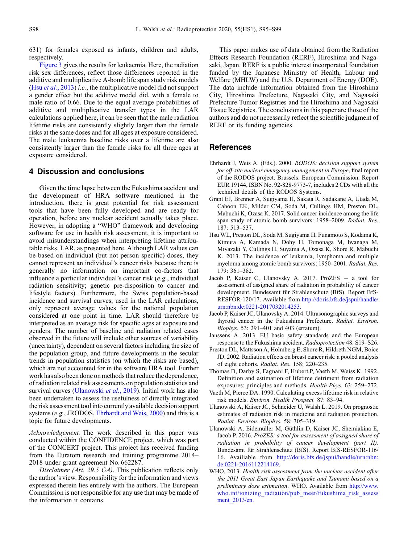<span id="page-3-0"></span>631) for females exposed as infants, children and adults, respectively.

[Figure 3](#page-2-0) gives the results for leukaemia. Here, the radiation risk sex differences, reflect those differences reported in the additive and multiplicative A-bomb life span study risk models (Hsu et al., 2013) *i.e.*, the multiplicative model did not support a gender effect but the additive model did, with a female to male ratio of 0.66. Due to the equal average probabilities of additive and multiplicative transfer types in the LAR calculations applied here, it can be seen that the male radiation lifetime risks are consistently slightly larger than the female risks at the same doses and for all ages at exposure considered. The male leukaemia baseline risks over a lifetime are also consistently larger than the female risks for all three ages at exposure considered.

## 4 Discussion and conclusions

Given the time lapse between the Fukushima accident and the development of HRA software mentioned in the introduction, there is great potential for risk assessment tools that have been fully developed and are ready for operation, before any nuclear accident actually takes place. However, in adopting a "WHO" framework and developing software for use in health risk assessment, it is important to avoid misunderstandings when interpreting lifetime attributable risks, LAR, as presented here. Although LAR values can be based on individual (but not person specific) doses, they cannot represent an individual's cancer risks because there is generally no information on important co-factors that influence a particular individual's cancer risk (e.g., individual radiation sensitivity; genetic pre-disposition to cancer and lifestyle factors). Furthermore, the Swiss population-based incidence and survival curves, used in the LAR calculations, only represent average values for the national population considered at one point in time. LAR should therefore be interpreted as an average risk for specific ages at exposure and genders. The number of baseline and radiation related cases observed in the future will include other sources of variability (uncertainty), dependent on several factors including the size of the population group, and future developments in the secular trends in population statistics (on which the risks are based), which are not accounted for in the software HRA tool. Further work has also been done on methods that reduce the dependence, of radiation related risk assessments on population statistics and survival curves (Ulanowski et al., 2019). Initial work has also been undertaken to assess the usefulness of directly integrated the risk assessment tool into currently available decision support systems (e.g., JRODOS, Ehrhardt and Weis, 2000) and this is a topic for future developments.

Acknowledgement. The work described in this paper was conducted within the CONFIDENCE project, which was part of the CONCERT project. This project has received funding from the Euratom research and training programme 2014– 2018 under grant agreement No. 662287.

Disclaimer (Art. 29.5 GA). This publication reflects only the author's view. Responsibility for the information and views expressed therein lies entirely with the authors. The European Commission is not responsible for any use that may be made of the information it contains.

This paper makes use of data obtained from the Radiation Effects Research Foundation (RERF), Hiroshima and Nagasaki, Japan. RERF is a public interest incorporated foundation funded by the Japanese Ministry of Health, Labour and Welfare (MHLW) and the U.S. Department of Energy (DOE). The data include information obtained from the Hiroshima City, Hiroshima Prefecture, Nagasaki City, and Nagasaki Prefecture Tumor Registries and the Hiroshima and Nagasaki Tissue Registries. The conclusions in this paper are those of the authors and do not necessarily reflect the scientific judgment of RERF or its funding agencies.

### References

- Ehrhardt J, Weis A. (Eds.). 2000. RODOS: decision support system for off-site nuclear emergency management in Europe, final report of the RODOS project. Brussels: European Commission. Report EUR 19144, ISBN No. 92-828-9773-7, includes 2 CDs with all the technical details of the RODOS Systems.
- Grant EJ, Brenner A, Sugiyama H, Sakata R, Sadakane A, Utada M, Cahoon EK, Milder CM, Soda M, Cullings HM, Preston DL, Mabuchi K, Ozasa K. 2017. Solid cancer incidence among the life span study of atomic bomb survivors: 1958–2009. Radiat. Res. 187: 513–537.
- Hsu WL, Preston DL, Soda M, Sugiyama H, Funamoto S, Kodama K, Kimura A, Kamada N, Dohy H, Tomonaga M, Iwanaga M, Miyazaki Y, Cullings H, Suyama A, Ozasa K, Shore R, Mabuchi K. 2013. The incidence of leukemia, lymphoma and multiple myeloma among atomic bomb survivors: 1950–2001. Radiat. Res. 179: 361–382.
- Jacob P, Kaiser C, Ulanovsky A. 2017. ProZES a tool for assessment of assigned share of radiation in probability of cancer development. Bundesamt für Strahlenschutz (BfS). Report BfS-RESFOR-120/17. Available from [http://doris.bfs.de/jspui/handle/](http://doris.bfs.de/jspui/handle/urn:nbn:de:0221-2017032014253.) [urn:nbn:de:0221-2017032014253.](http://doris.bfs.de/jspui/handle/urn:nbn:de:0221-2017032014253.)
- Jacob P, Kaiser JC, Ulanovsky A. 2014. Ultrasonographic surveys and thyroid cancer in the Fukushima Prefecture. Radiat. Environ. Biophys. 53: 291–401 and 403 (erratum).
- Janssens A. 2013. EU basic safety standards and the European response to the Fukushima accident. Radioprotection 48: S19–S26.
- Preston DL, Mattsson A, Holmberg E, Shore R, Hildreth NGM, Boice JD. 2002. Radiation effects on breast cancer risk: a pooled analysis of eight cohorts. Radiat. Res. 158: 220–235.
- Thomas D, Darby S, Fagnani F, Hubert P, Vaeth M, Weiss K. 1992. Definition and estimation of lifetime detriment from radiation exposures: principles and methods. Health Phys. 63: 259–272.
- Vaeth M, Pierce DA. 1990. Calculating excess lifetime risk in relative risk models. Environ. Health Prospect. 87: 83–94.
- Ulanowski A, Kaiser JC, Schneider U, Walsh L. 2019. On prognostic estimates of radiation risk in medicine and radiation protection. Radiat. Environ. Biophys. 58: 305–319.
- Ulanowski A, Eidemüller M, Güthlin D, Kaiser JC, Shemiakina E, Jacob P. 2016. ProZES: a tool for assessment of assigned share of radiation in probability of cancer development (part II). Bundesamt für Strahlenschutz (BfS). Report BfS-RESFOR-116/ 16. Availiable from [http://doris.bfs.de/jspui/handle/urn:nbn:](http://doris.bfs.de/jspui/handle/urn:nbn:de:0221-2016112214169) [de:0221-2016112214169](http://doris.bfs.de/jspui/handle/urn:nbn:de:0221-2016112214169).
- WHO. 2013. Health risk assessment from the nuclear accident after the 2011 Great East Japan Earthquake and Tsunami based on a preliminary dose estimation. WHO. Available from [http://www.](http://www.who.int/ionizing_radiation/pub_meet/fukushima_risk_assessment_2013/en.) [who.int/ionizing\\_radiation/pub\\_meet/fukushima\\_risk\\_assess](http://www.who.int/ionizing_radiation/pub_meet/fukushima_risk_assessment_2013/en.) [ment\\_2013/en.](http://www.who.int/ionizing_radiation/pub_meet/fukushima_risk_assessment_2013/en.)